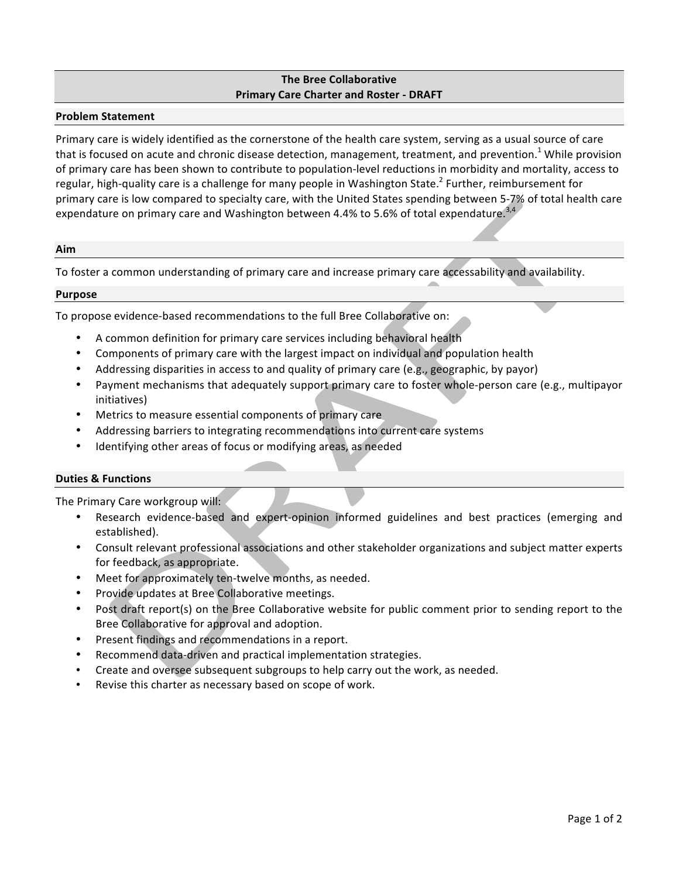# **The Bree Collaborative Primary Care Charter and Roster - DRAFT**

# **Problem Statement**

Primary care is widely identified as the cornerstone of the health care system, serving as a usual source of care that is focused on acute and chronic disease detection, management, treatment, and prevention.<sup>1</sup> While provision of primary care has been shown to contribute to population-level reductions in morbidity and mortality, access to regular, high-quality care is a challenge for many people in Washington State.<sup>2</sup> Further, reimbursement for primary care is low compared to specialty care, with the United States spending between 5-7% of total health care expendature on primary care and Washington between 4.4% to 5.6% of total expendature.<sup>3,4</sup>

## **Aim**

To foster a common understanding of primary care and increase primary care accessability and availability.

#### **Purpose**

To propose evidence-based recommendations to the full Bree Collaborative on:

- A common definition for primary care services including behavioral health
- Components of primary care with the largest impact on individual and population health
- Addressing disparities in access to and quality of primary care (e.g., geographic, by payor)
- Payment mechanisms that adequately support primary care to foster whole-person care (e.g., multipayor initiatives)
- Metrics to measure essential components of primary care
- Addressing barriers to integrating recommendations into current care systems
- Identifying other areas of focus or modifying areas, as needed

## **Duties & Functions**

The Primary Care workgroup will:

- Research evidence-based and expert-opinion informed guidelines and best practices (emerging and established).
- Consult relevant professional associations and other stakeholder organizations and subject matter experts for feedback, as appropriate.
- Meet for approximately ten-twelve months, as needed.
- Provide updates at Bree Collaborative meetings.
- Post draft report(s) on the Bree Collaborative website for public comment prior to sending report to the Bree Collaborative for approval and adoption.
- Present findings and recommendations in a report.
- Recommend data-driven and practical implementation strategies.
- Create and oversee subsequent subgroups to help carry out the work, as needed.
- Revise this charter as necessary based on scope of work.